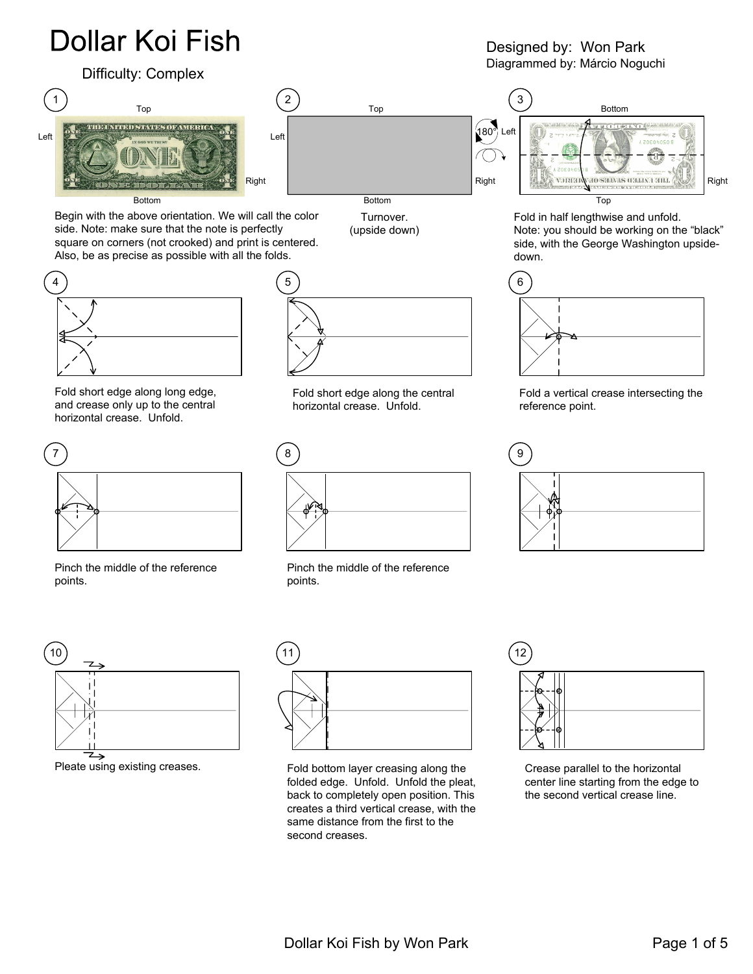## **Dollar Koi Fish**

## Difficulty: Complex



Begin with the above orientation. We will call the color side. Note: make sure that the note is perfectly square on corners (not crooked) and print is centered. Also, be as precise as possible with all the folds.



Fold short edge along long edge, and crease only up to the central horizontal crease. Unfold.



Pinch the middle of the reference points.



Pleate using existing creases.



Bottom

Turnover. (upside down)



Fold short edge along the central horizontal crease. Unfold.



Pinch the middle of the reference points.



Fold bottom layer creasing along the folded edge. Unfold. Unfold the pleat, back to completely open position. This creates a third vertical crease, with the same distance from the first to the second creases.

Crease parallel to the horizontal center line starting from the edge to the second vertical crease line.

Designed by: Won Park Diagrammed by: Márcio Noguchi



Fold in half lengthwise and unfold. Note: you should be working on the "black" side, with the George Washington upsidedown.



Fold a vertical crease intersecting the reference point.



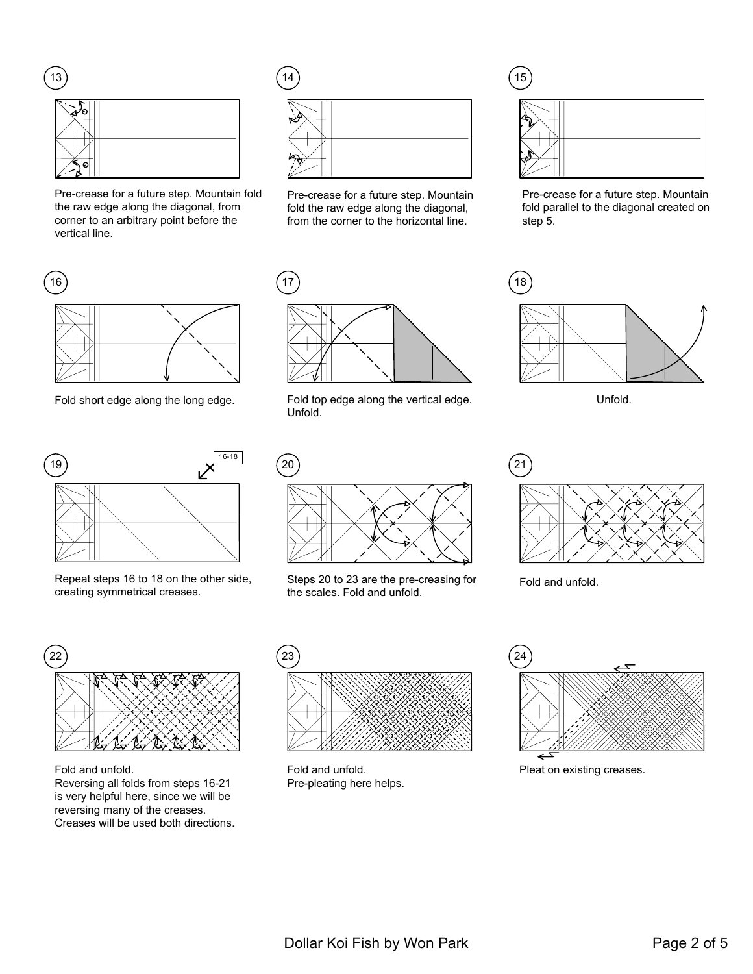

Pre-crease for a future step. Mountain fold the raw edge along the diagonal, from corner to an arbitrary point before the vertical line.





Pre-crease for a future step. Mountain fold the raw edge along the diagonal, from the corner to the horizontal line.



Pre-crease for a future step. Mountain fold parallel to the diagonal created on step 5.





Repeat steps 16 to 18 on the other side, creating symmetrical creases.



Fold short edge along the long edge. Fold top edge along the vertical edge. Unfold.



Steps 20 to 23 are the pre-creasing for Fold and unfold. the scales. Fold and unfold.









Fold and unfold. Reversing all folds from steps 16-21 is very helpful here, since we will be reversing many of the creases. Creases will be used both directions.



Fold and unfold. Pre-pleating here helps.



Pleat on existing creases.

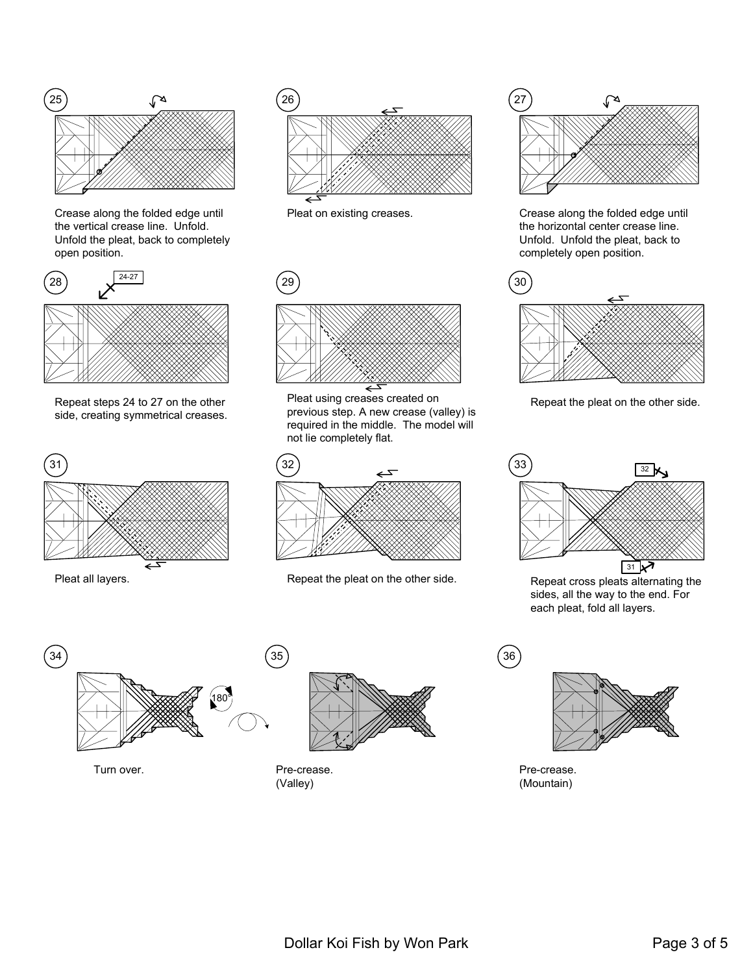

Crease along the folded edge until the vertical crease line. Unfold. Unfold the pleat, back to completely open position.



Repeat steps 24 to 27 on the other side, creating symmetrical creases.







Pleat using creases created on previous step. A new crease (valley) is required in the middle. The model will not lie completely flat.



Pleat all layers. The peat the pleat on the other side.



Pleat on existing creases. Crease along the folded edge until the horizontal center crease line. Unfold. Unfold the pleat, back to completely open position.



Repeat the pleat on the other side.



Repeat cross pleats alternating the sides, all the way to the end. For each pleat, fold all layers.





Turn over. Turn over. (Valley)



Pre-crease. (Mountain)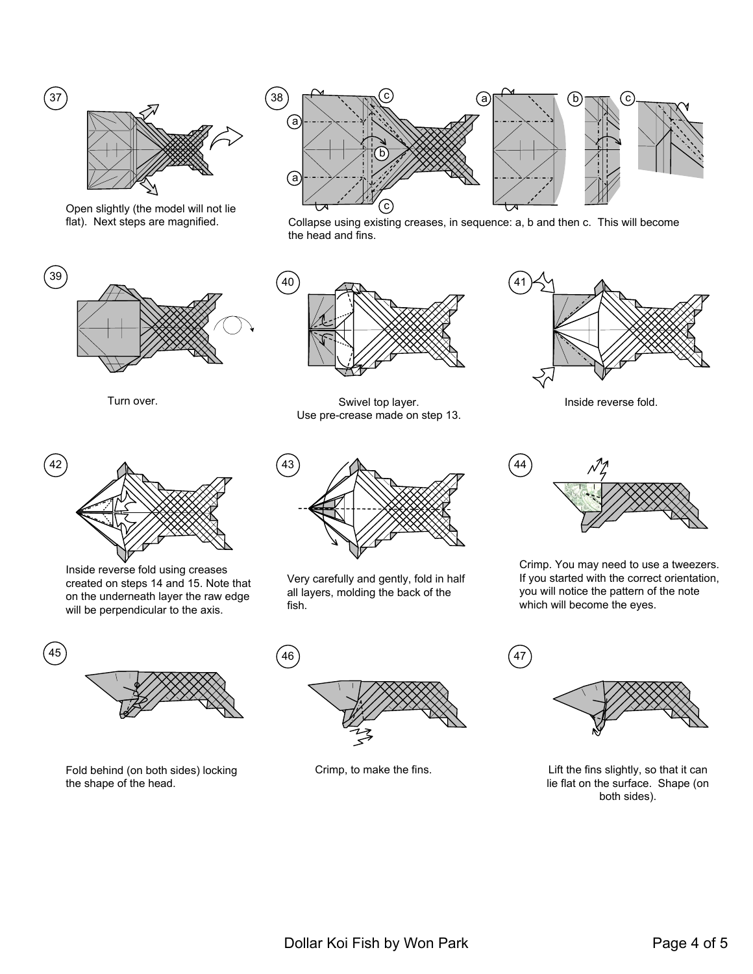

Open slightly (the model will not lie flat). Next steps are magnified.



Turn over.



Inside reverse fold using creases created on steps 14 and 15. Note that on the underneath layer the raw edge will be perpendicular to the axis.



Fold behind (on both sides) locking the shape of the head.



Collapse using existing creases, in sequence: a, b and then c. This will become the head and fins.



Swivel top layer. Use pre-crease made on step 13.



Very carefully and gently, fold in half all layers, molding the back of the fish.





Inside reverse fold.



Crimp. You may need to use a tweezers. If you started with the correct orientation, you will notice the pattern of the note which will become the eyes.



Crimp, to make the fins.  $L$  Lift the fins slightly, so that it can lie flat on the surface. Shape (on both sides).